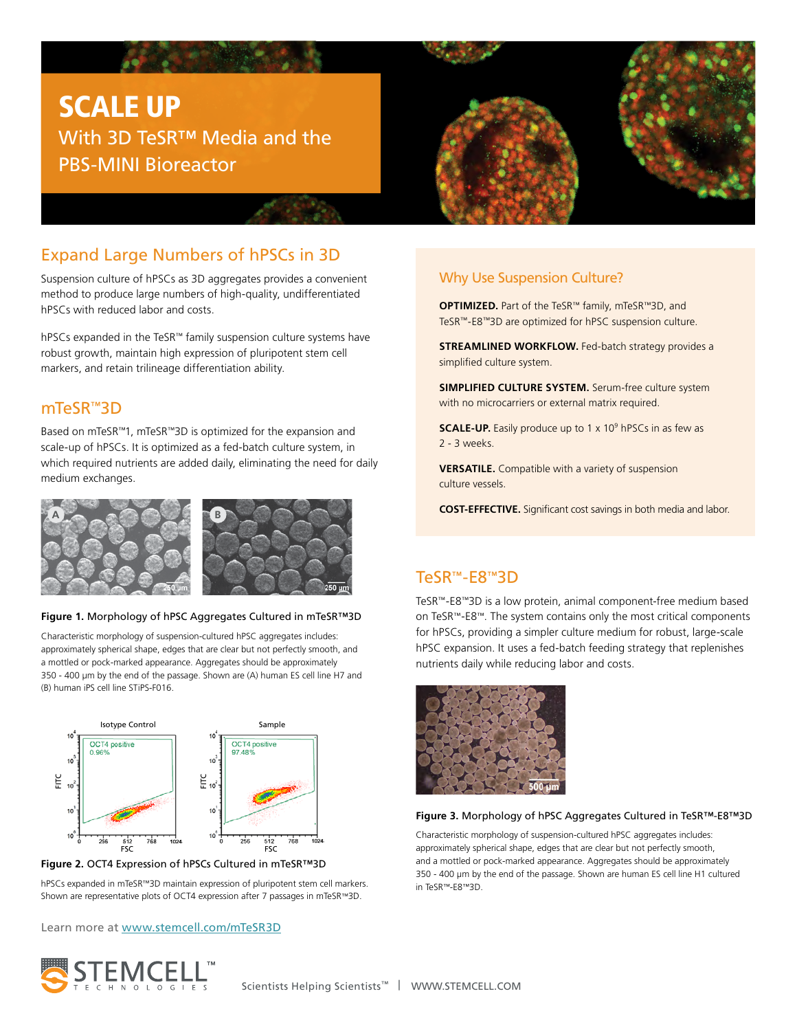# SCALE UP With 3D TeSR™ Media and the PBS-MINI Bioreactor



# Expand Large Numbers of hPSCs in 3D

Suspension culture of hPSCs as 3D aggregates provides a convenient method to produce large numbers of high-quality, undifferentiated hPSCs with reduced labor and costs.

hPSCs expanded in the TeSR™ family suspension culture systems have robust growth, maintain high expression of pluripotent stem cell markers, and retain trilineage differentiation ability.

### mTeSR™3D

Based on mTeSR™1, mTeSR™3D is optimized for the expansion and scale-up of hPSCs. It is optimized as a fed-batch culture system, in which required nutrients are added daily, eliminating the need for daily medium exchanges.



#### **Figure 1.** Morphology of hPSC Aggregates Cultured in mTeSR™3D

Characteristic morphology of suspension-cultured hPSC aggregates includes: approximately spherical shape, edges that are clear but not perfectly smooth, and a mottled or pock-marked appearance. Aggregates should be approximately 350 - 400 μm by the end of the passage. Shown are (A) human ES cell line H7 and (B) human iPS cell line STiPS-F016.



#### **Figure 2.** OCT4 Expression of hPSCs Cultured in mTeSR™3D

hPSCs expanded in mTeSR™3D maintain expression of pluripotent stem cell markers. Shown are representative plots of OCT4 expression after 7 passages in mTeSR™3D.

Learn more at [www.stemcell.com/mTeSR3D](http://www.stemcell.com/mTeSR3D)



### Why Use Suspension Culture?

**OPTIMIZED.** Part of the TeSR™ family, mTeSR™3D, and TeSR™-E8™3D are optimized for hPSC suspension culture.

**STREAMLINED WORKFLOW.** Fed-batch strategy provides a simplified culture system.

**SIMPLIFIED CULTURE SYSTEM.** Serum-free culture system with no microcarriers or external matrix required.

**SCALE-UP.** Easily produce up to 1 x 10<sup>9</sup> hPSCs in as few as 2 - 3 weeks.

**VERSATILE.** Compatible with a variety of suspension culture vessels.

**COST-EFFECTIVE.** Significant cost savings in both media and labor.

## TeSR™-E8™3D

TeSR™-E8™3D is a low protein, animal component-free medium based on TeSR™-E8™. The system contains only the most critical components for hPSCs, providing a simpler culture medium for robust, large-scale hPSC expansion. It uses a fed-batch feeding strategy that replenishes nutrients daily while reducing labor and costs.



#### **Figure 3.** Morphology of hPSC Aggregates Cultured in TeSR™-E8™3D

Characteristic morphology of suspension-cultured hPSC aggregates includes: approximately spherical shape, edges that are clear but not perfectly smooth, and a mottled or pock-marked appearance. Aggregates should be approximately 350 - 400 μm by the end of the passage. Shown are human ES cell line H1 cultured in TeSR™-E8™3D.